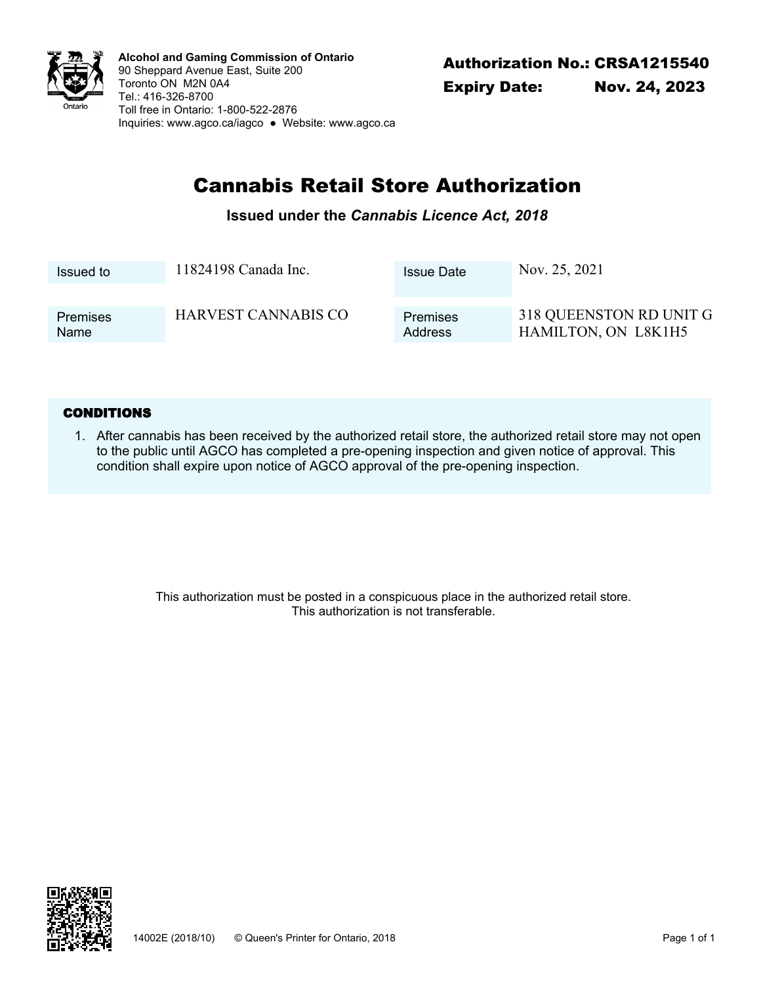

Authorization No.: CRSA1215540 **Alcohol and Gaming Commission of Ontario** 90 Sheppard Avenue East, Suite 200 Toronto ON M2N 0A4 Tel.: 416-326-8700 Toll free in Ontario: 1-800-522-2876 Inquiries: <www.agco.ca/iagco> ● Website: <www.agco.ca>

# Cannabis Retail Store Authorization

### **Issued under the** *Cannabis Licence Act, 2018*

| Issued to       | 11824198 Canada Inc.       | <b>Issue Date</b> | Nov. 25, 2021           |
|-----------------|----------------------------|-------------------|-------------------------|
| <b>Premises</b> | <b>HARVEST CANNABIS CO</b> | <b>Premises</b>   | 318 QUEENSTON RD UNIT G |
| Name            |                            | <b>Address</b>    | HAMILTON, ON L8K1H5     |

#### **CONDITIONS**

After cannabis has been received by the authorized retail store, the authorized retail store may not open 1. to the public until AGCO has completed a pre-opening inspection and given notice of approval. This condition shall expire upon notice of AGCO approval of the pre-opening inspection.

> This authorization must be posted in a conspicuous place in the authorized retail store. This authorization is not transferable.